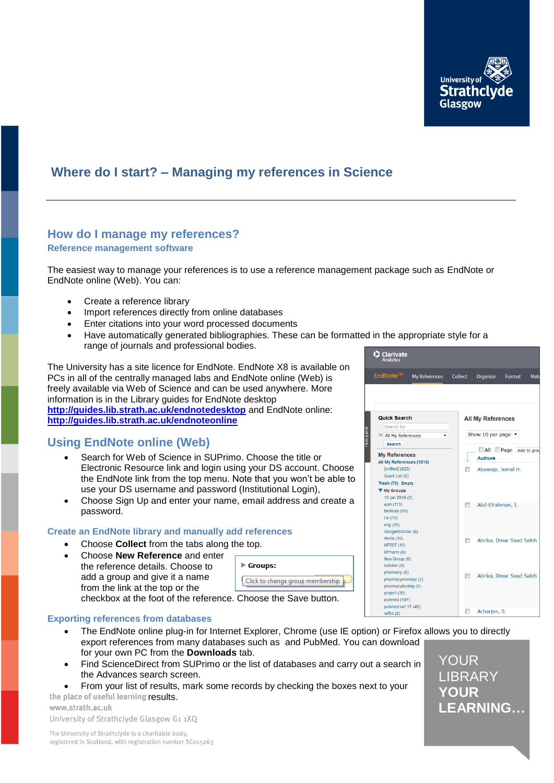

## **Where do I start? – Managing my references in Science**

# **How do I manage my references?**

### **Reference management software**

The easiest way to manage your references is to use a reference management package such as EndNote or EndNote online (Web). You can:

- Create a reference library
- Import references directly from online databases
- Enter citations into your word processed documents
- Have automatically generated bibliographies. These can be formatted in the appropriate style for a range of journals and professional bodies.

The University has a site licence for EndNote. EndNote X8 is available on PCs in all of the centrally managed labs and EndNote online (Web) is freely available via Web of Science and can be used anywhere. More information is in the Library guides for EndNote desktop **<http://guides.lib.strath.ac.uk/endnotedesktop>** and EndNote online: **<http://guides.lib.strath.ac.uk/endnoteonline>**

### **Using EndNote online (Web)**

- Search for Web of Science in SUPrimo. Choose the title or Electronic Resource link and login using your DS account. Choose the EndNote link from the top menu. Note that you won't be able to use your DS username and password (Institutional Login),
- Choose Sign Up and enter your name, email address and create a password.

### **Create an EndNote library and manually add references**

- Choose **Collect** from the tabs along the top.
- Choose **New Reference** and enter the reference details. Choose to add a group and give it a name from the link at the top or the

| ιν ιυμ.                          |  |  |
|----------------------------------|--|--|
| $\blacktriangleright$ Groups:    |  |  |
| Click to change group membership |  |  |

checkbox at the foot of the reference. Choose the Save button.

### **Exporting references from databases**

- The EndNote online plug-in for Internet Explorer, Chrome (use IE option) or Firefox allows you to directly export references from many databases such as and PubMed. You can download for your own PC from the **Downloads** tab.
- Find ScienceDirect from SUPrimo or the list of databases and carry out a search in the Advances search screen.
- From your list of results, mark some records by checking the boxes next to your the place of useful learning results.

www.strath.ac.uk University of Strathclyde Glasgow G1 1XQ

The University of Strathclyde is a charitable body, registered in Scotland, with registration number SC015263



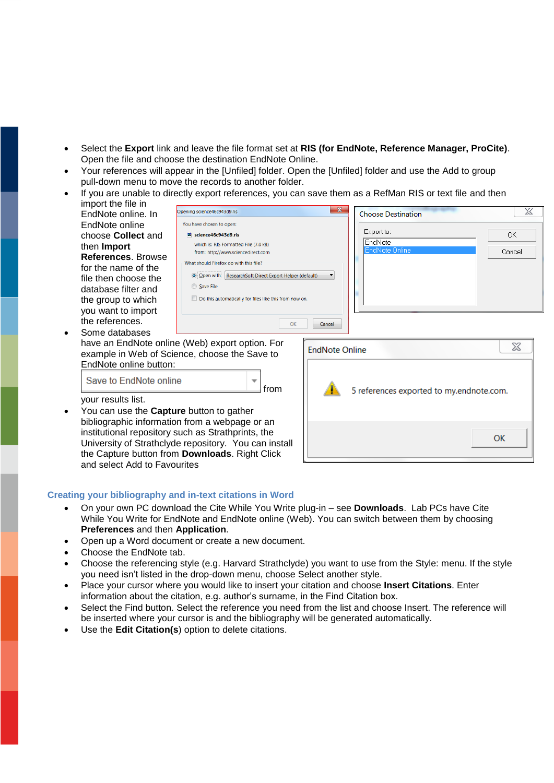- Select the **Export** link and leave the file format set at **RIS (for EndNote, Reference Manager, ProCite)**. Open the file and choose the destination EndNote Online.
- Your references will appear in the [Unfiled] folder. Open the [Unfiled] folder and use the Add to group pull-down menu to move the records to another folder.
- If you are unable to directly export references, you can save them as a RefMan RIS or text file and then import the file in **Contract Contract**

| EndNote online. In                                                    | lOpening science46c943g9.ris                                                                     |                       | <b>Choose Destination</b>                | 25        |
|-----------------------------------------------------------------------|--------------------------------------------------------------------------------------------------|-----------------------|------------------------------------------|-----------|
| EndNote online                                                        | You have chosen to open:                                                                         |                       |                                          |           |
| choose <b>Collect</b> and                                             | Signce46c943d9.ris                                                                               |                       | Export to:                               | OK.       |
| then Import                                                           | which is: RIS Formatted File (7.0 kB)<br>from: http://www.sciencedirect.com                      |                       | EndNote<br><b>EndNote Online</b>         | Cancel    |
| References, Browse                                                    | What should Firefox do with this file?                                                           |                       |                                          |           |
| for the name of the                                                   |                                                                                                  |                       |                                          |           |
| file then choose the                                                  | O Open with ResearchSoft Direct Export Helper (default)                                          |                       |                                          |           |
| database filter and                                                   | Save File                                                                                        |                       |                                          |           |
| the group to which                                                    | Do this automatically for files like this from now on.                                           |                       |                                          |           |
| you want to import                                                    |                                                                                                  |                       |                                          |           |
| the references.                                                       | OK                                                                                               | Cancel                |                                          |           |
| Some databases                                                        |                                                                                                  |                       |                                          |           |
| EndNote online button:                                                | have an EndNote online (Web) export option. For<br>example in Web of Science, choose the Save to | <b>EndNote Online</b> |                                          | X         |
| Save to EndNote online                                                | v<br>from                                                                                        |                       | 5 references exported to my.endnote.com. |           |
| your results list.<br>You can use the <b>Capture</b> button to gather |                                                                                                  |                       |                                          |           |
|                                                                       | bibliographic information from a webpage or an                                                   |                       |                                          |           |
|                                                                       | institutional repository such as Strathprints, the                                               |                       |                                          | <b>OK</b> |
|                                                                       | University of Strathclyde repository. You can install                                            |                       |                                          |           |
| and select Add to Favourites                                          | the Capture button from <b>Downloads</b> . Right Click                                           |                       |                                          |           |

### **Creating your bibliography and in-text citations in Word**

- On your own PC download the Cite While You Write plug-in see **Downloads**. Lab PCs have Cite While You Write for EndNote and EndNote online (Web). You can switch between them by choosing **Preferences** and then **Application**.
- Open up a Word document or create a new document.
- Choose the EndNote tab.
- Choose the referencing style (e.g. Harvard Strathclyde) you want to use from the Style: menu. If the style you need isn't listed in the drop-down menu, choose Select another style.
- Place your cursor where you would like to insert your citation and choose **Insert Citations**. Enter information about the citation, e.g. author's surname, in the Find Citation box.
- Select the Find button. Select the reference you need from the list and choose Insert. The reference will be inserted where your cursor is and the bibliography will be generated automatically.
- Use the **Edit Citation(s**) option to delete citations.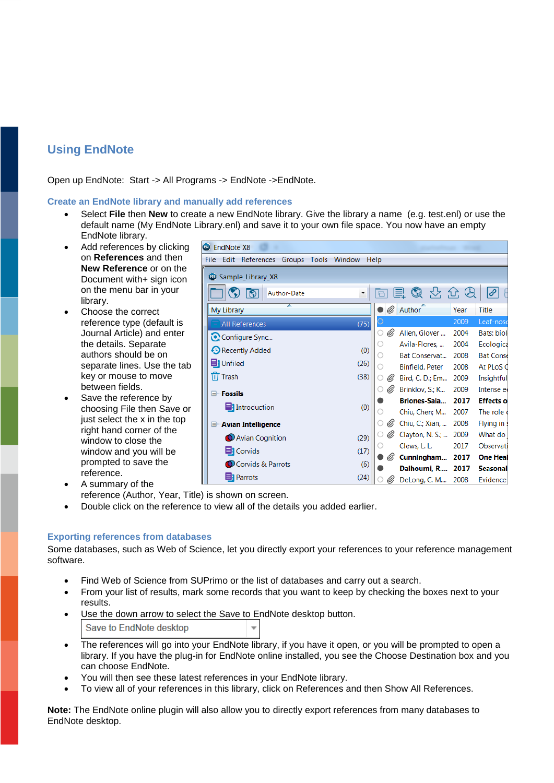### **Using EndNote**

Open up EndNote: Start -> All Programs -> EndNote ->EndNote.

### **Create an EndNote library and manually add references**

- Select **File** then **New** to create a new EndNote library. Give the library a name (e.g. test.enl) or use the default name (My EndNote Library.enl) and save it to your own file space. You now have an empty EndNote library.
- Add references by clicking on **References** and then **New Reference** or on the Document with+ sign icon on the menu bar in your library.
- Choose the correct reference type (default is Journal Article) and enter the details. Separate authors should be on separate lines. Use the tab key or mouse to move between fields.
- Save the reference by choosing File then Save or just select the x in the top right hand corner of the window to close the window and you will be prompted to save the reference.
- A summary of the reference (Author, Year, Title) is shown on screen.
- Double click on the reference to view all of the details you added earlier.

### **Exporting references from databases**

Some databases, such as Web of Science, let you directly export your references to your reference management software.

- Find Web of Science from SUPrimo or the list of databases and carry out a search.
- From your list of results, mark some records that you want to keep by checking the boxes next to your results.
- Use the down arrow to select the Save to EndNote desktop button. Save to EndNote desktop  $\overline{\phantom{a}}$
- The references will go into your EndNote library, if you have it open, or you will be prompted to open a library. If you have the plug-in for EndNote online installed, you see the Choose Destination box and you can choose EndNote.
- You will then see these latest references in your EndNote library.
- To view all of your references in this library, click on References and then Show All References.

**Note:** The EndNote online plugin will also allow you to directly export references from many databases to EndNote desktop.